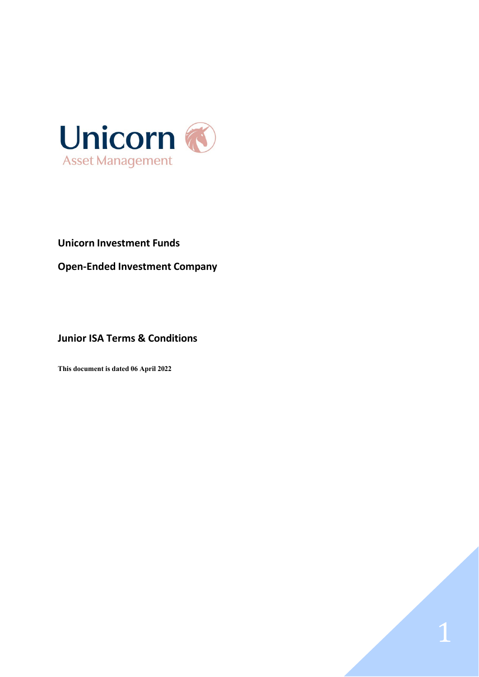

# **Unicorn Investment Funds**

**Open-Ended Investment Company**

# **Junior ISA Terms & Conditions**

**This document is dated 06 April 2022**

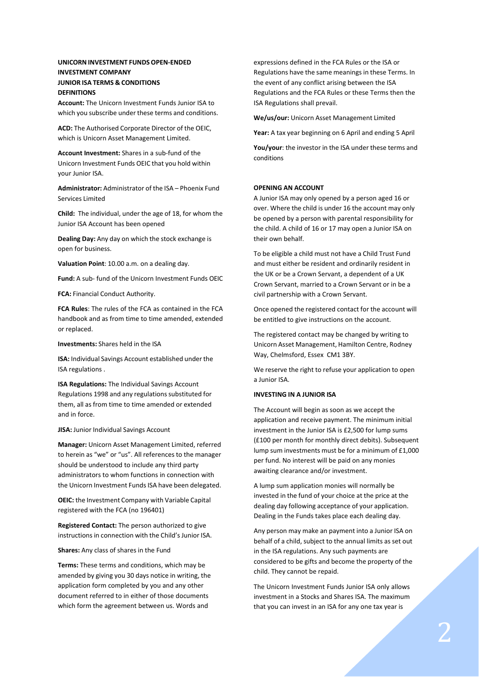# **UNICORN INVESTMENT FUNDS OPEN-ENDED INVESTMENT COMPANY JUNIOR ISA TERMS & CONDITIONS DEFINITIONS**

**Account:** The Unicorn Investment Funds Junior ISA to which you subscribe under these terms and conditions.

**ACD:** The Authorised Corporate Director of the OEIC, which is Unicorn Asset Management Limited.

**Account Investment:** Shares in a sub-fund of the Unicorn Investment Funds OEIC that you hold within your Junior ISA.

**Administrator:** Administrator of the ISA – Phoenix Fund Services Limited

**Child:** The individual, under the age of 18, for whom the Junior ISA Account has been opened

**Dealing Day:** Any day on which the stock exchange is open for business.

**Valuation Point**: 10.00 a.m. on a dealing day.

**Fund:** A sub- fund of the Unicorn Investment Funds OEIC

**FCA:** Financial Conduct Authority.

**FCA Rules**: The rules of the FCA as contained in the FCA handbook and as from time to time amended, extended or replaced.

**Investments:** Shares held in the ISA

**ISA:** Individual Savings Account established under the ISA regulations .

**ISA Regulations:** The Individual Savings Account Regulations 1998 and any regulations substituted for them, all as from time to time amended or extended and in force.

**JISA:** Junior Individual Savings Account

**Manager:** Unicorn Asset Management Limited, referred to herein as "we" or "us". All references to the manager should be understood to include any third party administrators to whom functions in connection with the Unicorn Investment Funds ISA have been delegated.

**OEIC:** the Investment Company with Variable Capital registered with the FCA (no 196401)

**Registered Contact:** The person authorized to give instructions in connection with the Child's Junior ISA.

**Shares:** Any class of shares in the Fund

**Terms:** These terms and conditions, which may be amended by giving you 30 days notice in writing, the application form completed by you and any other document referred to in either of those documents which form the agreement between us. Words and

expressions defined in the FCA Rules or the ISA or Regulations have the same meanings in these Terms. In the event of any conflict arising between the ISA Regulations and the FCA Rules or these Terms then the ISA Regulations shall prevail.

**We/us/our:** Unicorn Asset Management Limited

**Year:** A tax year beginning on 6 April and ending 5 April

**You/your**: the investor in the ISA under these terms and conditions

## **OPENING AN ACCOUNT**

A Junior ISA may only opened by a person aged 16 or over. Where the child is under 16 the account may only be opened by a person with parental responsibility for the child. A child of 16 or 17 may open a Junior ISA on their own behalf.

To be eligible a child must not have a Child Trust Fund and must either be resident and ordinarily resident in the UK or be a Crown Servant, a dependent of a UK Crown Servant, married to a Crown Servant or in be a civil partnership with a Crown Servant.

Once opened the registered contact for the account will be entitled to give instructions on the account.

The registered contact may be changed by writing to Unicorn Asset Management, Hamilton Centre, Rodney Way, Chelmsford, Essex CM1 3BY.

We reserve the right to refuse your application to open a Junior ISA.

## **INVESTING IN A JUNIOR ISA**

The Account will begin as soon as we accept the application and receive payment. The minimum initial investment in the Junior ISA is £2,500 for lump sums (£100 per month for monthly direct debits). Subsequent lump sum investments must be for a minimum of £1,000 per fund. No interest will be paid on any monies awaiting clearance and/or investment.

A lump sum application monies will normally be invested in the fund of your choice at the price at the dealing day following acceptance of your application. Dealing in the Funds takes place each dealing day.

Any person may make an payment into a Junior ISA on behalf of a child, subject to the annual limits as set out in the ISA regulations. Any such payments are considered to be gifts and become the property of the child. They cannot be repaid.

The Unicorn Investment Funds Junior ISA only allows investment in a Stocks and Shares ISA. The maximum that you can invest in an ISA for any one tax year is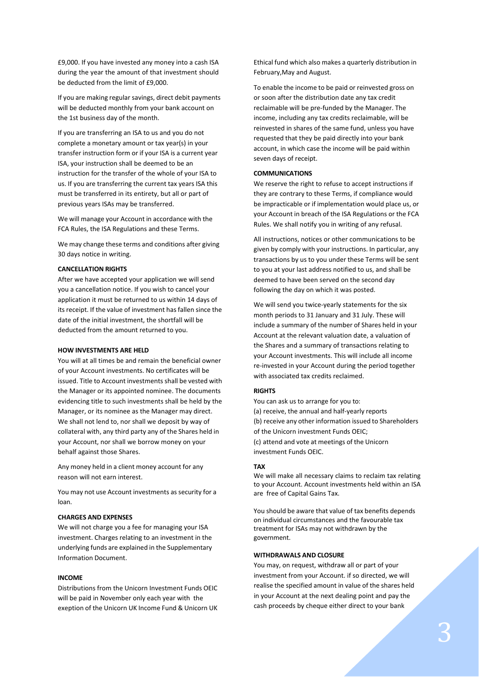£9,000. If you have invested any money into a cash ISA during the year the amount of that investment should be deducted from the limit of £9,000.

If you are making regular savings, direct debit payments will be deducted monthly from your bank account on the 1st business day of the month.

If you are transferring an ISA to us and you do not complete a monetary amount or tax year(s) in your transfer instruction form or if your ISA is a current year ISA, your instruction shall be deemed to be an instruction for the transfer of the whole of your ISA to us. If you are transferring the current tax years ISA this must be transferred in its entirety, but all or part of previous years ISAs may be transferred.

We will manage your Account in accordance with the FCA Rules, the ISA Regulations and these Terms.

We may change these terms and conditions after giving 30 days notice in writing.

## **CANCELLATION RIGHTS**

After we have accepted your application we will send you a cancellation notice. If you wish to cancel your application it must be returned to us within 14 days of its receipt. If the value of investment has fallen since the date of the initial investment, the shortfall will be deducted from the amount returned to you.

## **HOW INVESTMENTS ARE HELD**

You will at all times be and remain the beneficial owner of your Account investments. No certificates will be issued. Title to Account investments shall be vested with the Manager or its appointed nominee. The documents evidencing title to such investments shall be held by the Manager, or its nominee as the Manager may direct. We shall not lend to, nor shall we deposit by way of collateral with, any third party any of the Shares held in your Account, nor shall we borrow money on your behalf against those Shares.

Any money held in a client money account for any reason will not earn interest.

You may not use Account investments as security for a loan.

## **CHARGES AND EXPENSES**

We will not charge you a fee for managing your ISA investment. Charges relating to an investment in the underlying funds are explained in the Supplementary Information Document.

## **INCOME**

Distributions from the Unicorn Investment Funds OEIC will be paid in November only each year with the exeption of the Unicorn UK Income Fund & Unicorn UK Ethical fund which also makes a quarterly distribution in February,May and August.

To enable the income to be paid or reinvested gross on or soon after the distribution date any tax credit reclaimable will be pre-funded by the Manager. The income, including any tax credits reclaimable, will be reinvested in shares of the same fund, unless you have requested that they be paid directly into your bank account, in which case the income will be paid within seven days of receipt.

## **COMMUNICATIONS**

We reserve the right to refuse to accept instructions if they are contrary to these Terms, if compliance would be impracticable or if implementation would place us, or your Account in breach of the ISA Regulations or the FCA Rules. We shall notify you in writing of any refusal.

All instructions, notices or other communications to be given by comply with your instructions. In particular, any transactions by us to you under these Terms will be sent to you at your last address notified to us, and shall be deemed to have been served on the second day following the day on which it was posted.

We will send you twice-yearly statements for the six month periods to 31 January and 31 July. These will include a summary of the number of Shares held in your Account at the relevant valuation date, a valuation of the Shares and a summary of transactions relating to your Account investments. This will include all income re-invested in your Account during the period together with associated tax credits reclaimed.

## **RIGHTS**

You can ask us to arrange for you to: (a) receive, the annual and half-yearly reports (b) receive any other information issued to Shareholders of the Unicorn investment Funds OEIC; (c) attend and vote at meetings of the Unicorn investment Funds OEIC.

## **TAX**

We will make all necessary claims to reclaim tax relating to your Account. Account investments held within an ISA are free of Capital Gains Tax.

You should be aware that value of tax benefits depends on individual circumstances and the favourable tax treatment for ISAs may not withdrawn by the government.

#### **WITHDRAWALS AND CLOSURE**

You may, on request, withdraw all or part of your investment from your Account. if so directed, we will realise the specified amount in value of the shares held in your Account at the next dealing point and pay the cash proceeds by cheque either direct to your bank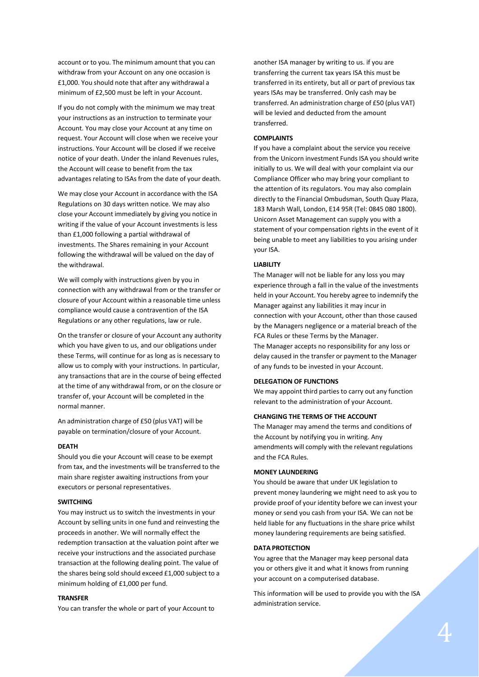account or to you. The minimum amount that you can withdraw from your Account on any one occasion is £1,000. You should note that after any withdrawal a minimum of £2,500 must be left in your Account.

If you do not comply with the minimum we may treat your instructions as an instruction to terminate your Account. You may close your Account at any time on request. Your Account will close when we receive your instructions. Your Account will be closed if we receive notice of your death. Under the inland Revenues rules, the Account will cease to benefit from the tax advantages relating to ISAs from the date of your death.

We may close your Account in accordance with the ISA Regulations on 30 days written notice. We may also close your Account immediately by giving you notice in writing if the value of your Account investments is less than £1,000 following a partial withdrawal of investments. The Shares remaining in your Account following the withdrawal will be valued on the day of the withdrawal.

We will comply with instructions given by you in connection with any withdrawal from or the transfer or closure of your Account within a reasonable time unless compliance would cause a contravention of the ISA Regulations or any other regulations, law or rule.

On the transfer or closure of your Account any authority which you have given to us, and our obligations under these Terms, will continue for as long as is necessary to allow us to comply with your instructions. In particular, any transactions that are in the course of being effected at the time of any withdrawal from, or on the closure or transfer of, your Account will be completed in the normal manner.

An administration charge of £50 (plus VAT) will be payable on termination/closure of your Account.

#### **DEATH**

Should you die your Account will cease to be exempt from tax, and the investments will be transferred to the main share register awaiting instructions from your executors or personal representatives.

#### **SWITCHING**

You may instruct us to switch the investments in your Account by selling units in one fund and reinvesting the proceeds in another. We will normally effect the redemption transaction at the valuation point after we receive your instructions and the associated purchase transaction at the following dealing point. The value of the shares being sold should exceed £1,000 subject to a minimum holding of £1,000 per fund.

#### **TRANSFER**

You can transfer the whole or part of your Account to

another ISA manager by writing to us. if you are transferring the current tax years ISA this must be transferred in its entirety, but all or part of previous tax years ISAs may be transferred. Only cash may be transferred. An administration charge of £50 (plus VAT) will be levied and deducted from the amount transferred.

#### **COMPLAINTS**

If you have a complaint about the service you receive from the Unicorn investment Funds ISA you should write initially to us. We will deal with your complaint via our Compliance Officer who may bring your compliant to the attention of its regulators. You may also complain directly to the Financial Ombudsman, South Quay Plaza, 183 Marsh Wall, London, E14 95R (Tel: 0845 080 1800). Unicorn Asset Management can supply you with a statement of your compensation rights in the event of it being unable to meet any liabilities to you arising under your ISA.

## **LIABILITY**

The Manager will not be liable for any loss you may experience through a fall in the value of the investments held in your Account. You hereby agree to indemnify the Manager against any liabilities it may incur in connection with your Account, other than those caused by the Managers negligence or a material breach of the FCA Rules or these Terms by the Manager. The Manager accepts no responsibility for any loss or

delay caused in the transfer or payment to the Manager of any funds to be invested in your Account.

## **DELEGATION OF FUNCTIONS**

We may appoint third parties to carry out any function relevant to the administration of your Account.

# **CHANGING THE TERMS OF THE ACCOUNT**

The Manager may amend the terms and conditions of the Account by notifying you in writing. Any amendments will comply with the relevant regulations and the FCA Rules.

## **MONEY LAUNDERING**

You should be aware that under UK legislation to prevent money laundering we might need to ask you to provide proof of your identity before we can invest your money or send you cash from your ISA. We can not be held liable for any fluctuations in the share price whilst money laundering requirements are being satisfied.

## **DATA PROTECTION**

You agree that the Manager may keep personal data you or others give it and what it knows from running your account on a computerised database.

This information will be used to provide you with the ISA administration service.